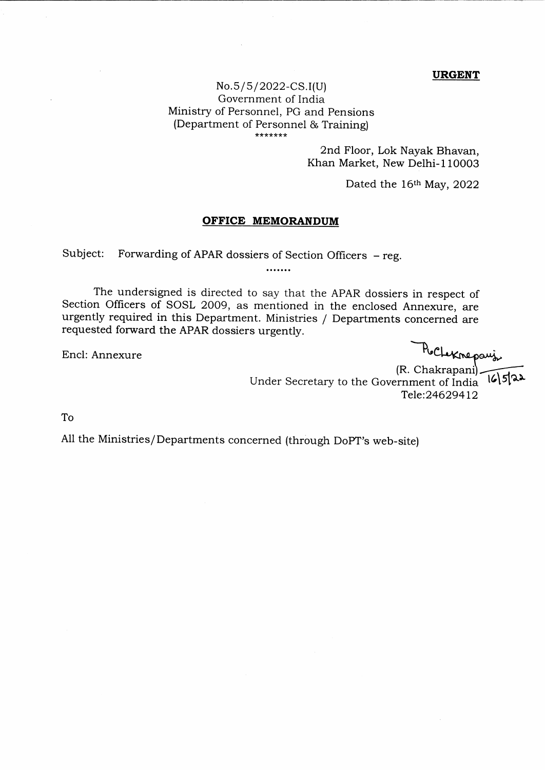## URGENT

## No.s/s/2022-CS.I(u) Government of India Ministry of Personnel, PG and Pensions (Department of Personnel & Training)

2nd Floor, Lok Nayak Bhavan, Khan Market, New Delhi-l10003

Dated the  $16<sup>th</sup>$  May, 2022

## OFFICE MEMORANDUM

Subject: Forwarding of APAR dossiers of Section Officers – reg.<br>.......

The undersigned is directed to say that the APAR dossiers in respect of Section Officers of SOSL 2OO9, as mentioned in the enclosed Annexure, are urgently required in this Department. Ministries / Departments concerned are requested forward the APAR dossiers urgently.

Encl: Annexure

PuCheknepauj

(R. ್ರ[೩೩ Under Secretary to the Government of India Tele:24629412

To

AII the Ministries/Departments concerned (through DopT's web-site)